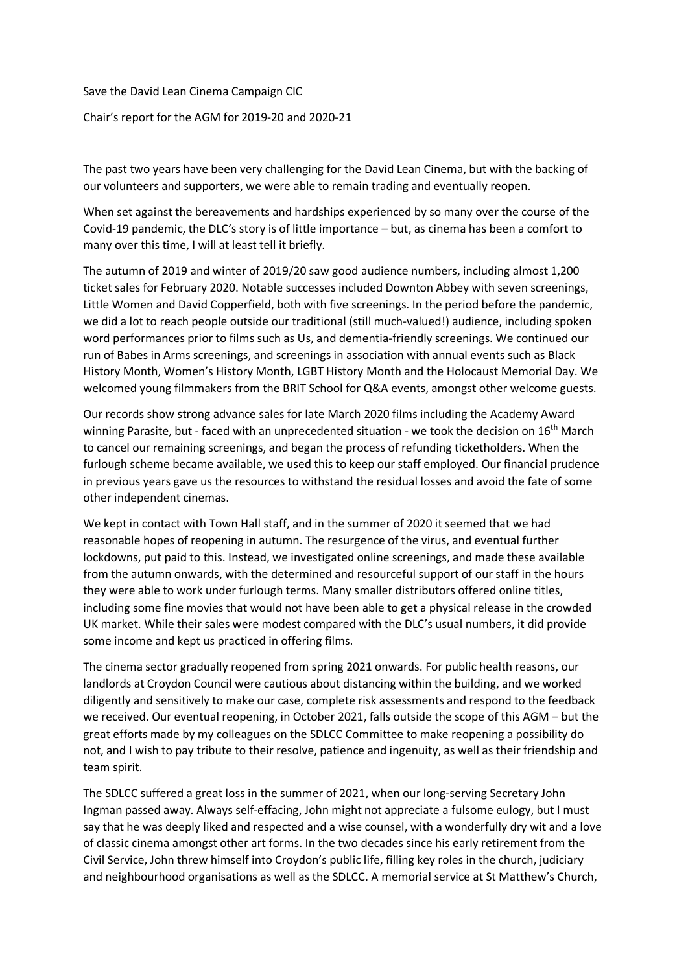Save the David Lean Cinema Campaign CIC Chair's report for the AGM for 2019-20 and 2020-21

The past two years have been very challenging for the David Lean Cinema, but with the backing of our volunteers and supporters, we were able to remain trading and eventually reopen.

When set against the bereavements and hardships experienced by so many over the course of the Covid-19 pandemic, the DLC's story is of little importance – but, as cinema has been a comfort to many over this time, I will at least tell it briefly.

The autumn of 2019 and winter of 2019/20 saw good audience numbers, including almost 1,200 ticket sales for February 2020. Notable successes included Downton Abbey with seven screenings, Little Women and David Copperfield, both with five screenings. In the period before the pandemic, we did a lot to reach people outside our traditional (still much-valued!) audience, including spoken word performances prior to films such as Us, and dementia-friendly screenings. We continued our run of Babes in Arms screenings, and screenings in association with annual events such as Black History Month, Women's History Month, LGBT History Month and the Holocaust Memorial Day. We welcomed young filmmakers from the BRIT School for Q&A events, amongst other welcome guests.

Our records show strong advance sales for late March 2020 films including the Academy Award winning Parasite, but - faced with an unprecedented situation - we took the decision on 16<sup>th</sup> March to cancel our remaining screenings, and began the process of refunding ticketholders. When the furlough scheme became available, we used this to keep our staff employed. Our financial prudence in previous years gave us the resources to withstand the residual losses and avoid the fate of some other independent cinemas.

We kept in contact with Town Hall staff, and in the summer of 2020 it seemed that we had reasonable hopes of reopening in autumn. The resurgence of the virus, and eventual further lockdowns, put paid to this. Instead, we investigated online screenings, and made these available from the autumn onwards, with the determined and resourceful support of our staff in the hours they were able to work under furlough terms. Many smaller distributors offered online titles, including some fine movies that would not have been able to get a physical release in the crowded UK market. While their sales were modest compared with the DLC's usual numbers, it did provide some income and kept us practiced in offering films.

The cinema sector gradually reopened from spring 2021 onwards. For public health reasons, our landlords at Croydon Council were cautious about distancing within the building, and we worked diligently and sensitively to make our case, complete risk assessments and respond to the feedback we received. Our eventual reopening, in October 2021, falls outside the scope of this AGM – but the great efforts made by my colleagues on the SDLCC Committee to make reopening a possibility do not, and I wish to pay tribute to their resolve, patience and ingenuity, as well as their friendship and team spirit.

The SDLCC suffered a great loss in the summer of 2021, when our long-serving Secretary John Ingman passed away. Always self-effacing, John might not appreciate a fulsome eulogy, but I must say that he was deeply liked and respected and a wise counsel, with a wonderfully dry wit and a love of classic cinema amongst other art forms. In the two decades since his early retirement from the Civil Service, John threw himself into Croydon's public life, filling key roles in the church, judiciary and neighbourhood organisations as well as the SDLCC. A memorial service at St Matthew's Church,